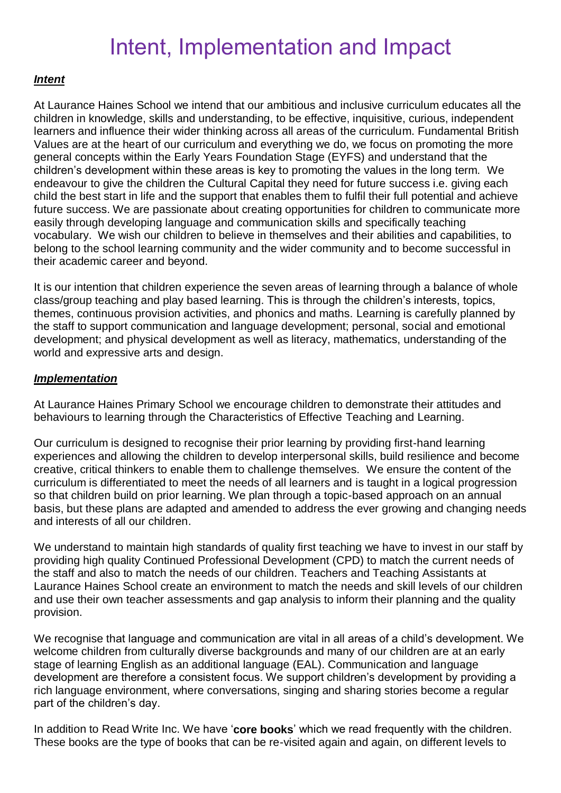## Intent, Implementation and Impact

## *Intent*

At Laurance Haines School we intend that our ambitious and inclusive curriculum educates all the children in knowledge, skills and understanding, to be effective, inquisitive, curious, independent learners and influence their wider thinking across all areas of the curriculum. Fundamental British Values are at the heart of our curriculum and everything we do, we focus on promoting the more general concepts within the Early Years Foundation Stage (EYFS) and understand that the children's development within these areas is key to promoting the values in the long term. We endeavour to give the children the Cultural Capital they need for future success i.e. giving each child the best start in life and the support that enables them to fulfil their full potential and achieve future success. We are passionate about creating opportunities for children to communicate more easily through developing language and communication skills and specifically teaching vocabulary. We wish our children to believe in themselves and their abilities and capabilities, to belong to the school learning community and the wider community and to become successful in their academic career and beyond.

It is our intention that children experience the seven areas of learning through a balance of whole class/group teaching and play based learning. This is through the children's interests, topics, themes, continuous provision activities, and phonics and maths. Learning is carefully planned by the staff to support communication and language development; personal, social and emotional development; and physical development as well as literacy, mathematics, understanding of the world and expressive arts and design.

## *Implementation*

At Laurance Haines Primary School we encourage children to demonstrate their attitudes and behaviours to learning through the Characteristics of Effective Teaching and Learning.

Our curriculum is designed to recognise their prior learning by providing first-hand learning experiences and allowing the children to develop interpersonal skills, build resilience and become creative, critical thinkers to enable them to challenge themselves. We ensure the content of the curriculum is differentiated to meet the needs of all learners and is taught in a logical progression so that children build on prior learning. We plan through a topic-based approach on an annual basis, but these plans are adapted and amended to address the ever growing and changing needs and interests of all our children.

We understand to maintain high standards of quality first teaching we have to invest in our staff by providing high quality Continued Professional Development (CPD) to match the current needs of the staff and also to match the needs of our children. Teachers and Teaching Assistants at Laurance Haines School create an environment to match the needs and skill levels of our children and use their own teacher assessments and gap analysis to inform their planning and the quality provision.

We recognise that language and communication are vital in all areas of a child's development. We welcome children from culturally diverse backgrounds and many of our children are at an early stage of learning English as an additional language (EAL). Communication and language development are therefore a consistent focus. We support children's development by providing a rich language environment, where conversations, singing and sharing stories become a regular part of the children's day.

In addition to Read Write Inc. We have '**core books**' which we read frequently with the children. These books are the type of books that can be re-visited again and again, on different levels to